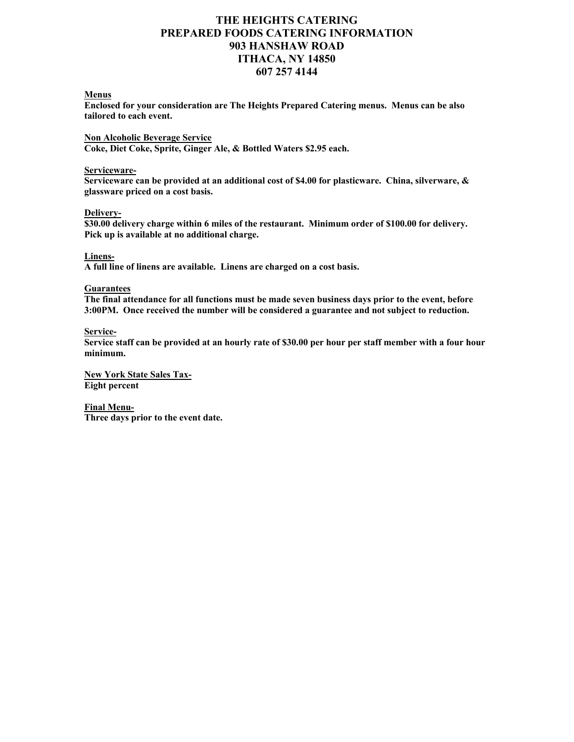# **THE HEIGHTS CATERING PREPARED FOODS CATERING INFORMATION 903 HANSHAW ROAD ITHACA, NY 14850 607 257 4144**

### **Menus**

**Enclosed for your consideration are The Heights Prepared Catering menus. Menus can be also tailored to each event.**

**Non Alcoholic Beverage Service Coke, Diet Coke, Sprite, Ginger Ale, & Bottled Waters \$2.95 each.**

#### **Serviceware-**

**Serviceware can be provided at an additional cost of \$4.00 for plasticware. China, silverware, & glassware priced on a cost basis.** 

### **Delivery-**

**\$30.00 delivery charge within 6 miles of the restaurant. Minimum order of \$100.00 for delivery. Pick up is available at no additional charge.** 

### **Linens-**

**A full line of linens are available. Linens are charged on a cost basis.**

### **Guarantees**

**The final attendance for all functions must be made seven business days prior to the event, before 3:00PM. Once received the number will be considered a guarantee and not subject to reduction.**

### **Service-**

**Service staff can be provided at an hourly rate of \$30.00 per hour per staff member with a four hour minimum.**

**New York State Sales Tax-Eight percent** 

**Final Menu-Three days prior to the event date.**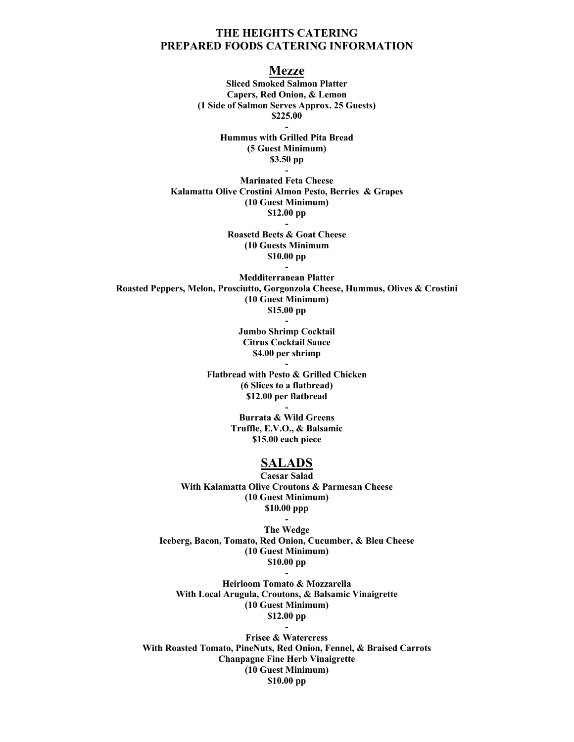## **THE HEIGHTS CATERING PREPARED FOODS CATERING INFORMATION**

**Mezze**

**Sliced Smoked Salmon Platter Capers, Red Onion, & Lemon (1 Side of Salmon Serves Approx. 25 Guests) \$225.00 - Hummus with Grilled Pita Bread (5 Guest Minimum)**

> **\$3.50 pp -**

**Marinated Feta Cheese Kalamatta Olive Crostini Almon Pesto, Berries & Grapes (10 Guest Minimum) \$12.00 pp**

> **Roasetd Beets & Goat Cheese (10 Guests Minimum \$10.00 pp -**

**-**

**Medditerranean Platter Roasted Peppers, Melon, Prosciutto, Gorgonzola Cheese, Hummus, Olives & Crostini (10 Guest Minimum) \$15.00 pp -**

> **Jumbo Shrimp Cocktail Citrus Cocktail Sauce \$4.00 per shrimp**

> > **-**

**Flatbread with Pesto & Grilled Chicken (6 Slices to a flatbread) \$12.00 per flatbread**

> **Burrata & Wild Greens Truffle, E.V.O., & Balsamic \$15.00 each piece**

**-**

# **SALADS**

**Caesar Salad With Kalamatta Olive Croutons & Parmesan Cheese (10 Guest Minimum) \$10.00 ppp**

**- The Wedge Iceberg, Bacon, Tomato, Red Onion, Cucumber, & Bleu Cheese (10 Guest Minimum) \$10.00 pp -**

**Heirloom Tomato & Mozzarella With Local Arugula, Croutons, & Balsamic Vinaigrette (10 Guest Minimum) \$12.00 pp**

**-**

**Frisee & Watercress With Roasted Tomato, PineNuts, Red Onion, Fennel, & Braised Carrots Chanpagne Fine Herb Vinaigrette (10 Guest Minimum) \$10.00 pp**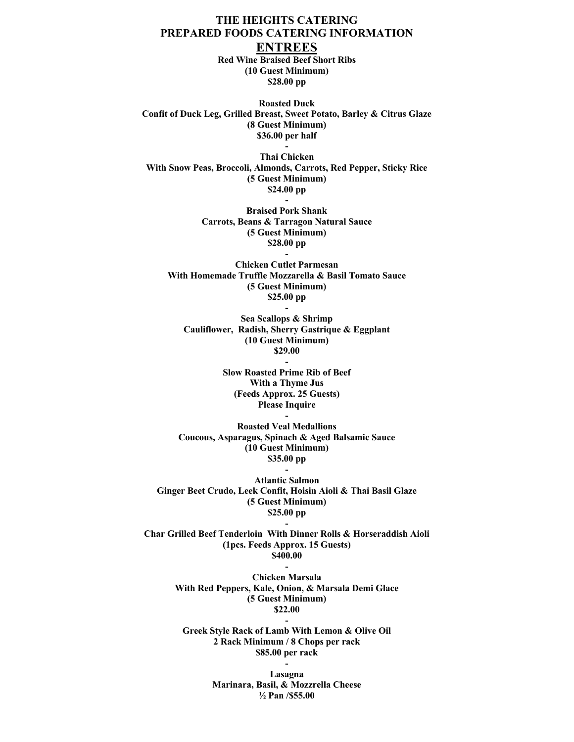# **THE HEIGHTS CATERING PREPARED FOODS CATERING INFORMATION ENTREES**

**Red Wine Braised Beef Short Ribs (10 Guest Minimum) \$28.00 pp**

**Roasted Duck Confit of Duck Leg, Grilled Breast, Sweet Potato, Barley & Citrus Glaze (8 Guest Minimum) \$36.00 per half**

**- Thai Chicken With Snow Peas, Broccoli, Almonds, Carrots, Red Pepper, Sticky Rice (5 Guest Minimum) \$24.00 pp -**

> **Braised Pork Shank Carrots, Beans & Tarragon Natural Sauce (5 Guest Minimum) \$28.00 pp**

**Chicken Cutlet Parmesan With Homemade Truffle Mozzarella & Basil Tomato Sauce (5 Guest Minimum) \$25.00 pp -**

**-**

**Sea Scallops & Shrimp Cauliflower, Radish, Sherry Gastrique & Eggplant (10 Guest Minimum) \$29.00**

**-**

**Slow Roasted Prime Rib of Beef With a Thyme Jus (Feeds Approx. 25 Guests) Please Inquire**

**Roasted Veal Medallions Coucous, Asparagus, Spinach & Aged Balsamic Sauce (10 Guest Minimum) \$35.00 pp**

**-**

**Atlantic Salmon Ginger Beet Crudo, Leek Confit, Hoisin Aioli & Thai Basil Glaze (5 Guest Minimum) \$25.00 pp**

**-**

**Char Grilled Beef Tenderloin With Dinner Rolls & Horseraddish Aioli (1pcs. Feeds Approx. 15 Guests) \$400.00**

**-**

**-**

**Chicken Marsala With Red Peppers, Kale, Onion, & Marsala Demi Glace (5 Guest Minimum) \$22.00**

**Greek Style Rack of Lamb With Lemon & Olive Oil 2 Rack Minimum / 8 Chops per rack \$85.00 per rack**

**-**

**Lasagna Marinara, Basil, & Mozzrella Cheese ½ Pan /\$55.00**

**-**